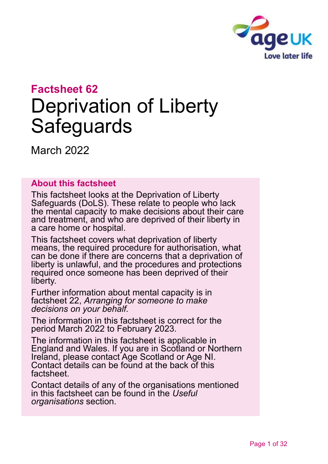

# **Factsheet 62** Deprivation of Liberty **Safeguards**

March 2022

### **About this factsheet**

This factsheet looks at the Deprivation of Liberty Safeguards (DoLS). These relate to people who lack the mental capacity to make decisions about their care and treatment, and who are deprived of their liberty in a care home or hospital.

This factsheet covers what deprivation of liberty means, the required procedure for authorisation, what can be done if there are concerns that a deprivation of liberty is unlawful, and the procedures and protections required once someone has been deprived of their liberty.

Further information about mental capacity is in factsheet 22, *[Arranging for someone to make](https://www.ageuk.org.uk/globalassets/age-uk/documents/factsheets/fs22_arranging_for_someone_to_make_decisions_on_your_behalf_fcs.pdf)  [decisions on your behalf.](https://www.ageuk.org.uk/globalassets/age-uk/documents/factsheets/fs22_arranging_for_someone_to_make_decisions_on_your_behalf_fcs.pdf)* 

The information in this factsheet is correct for the period March 2022 to February 2023.

The information in this factsheet is applicable in England and Wales. If you are in Scotland or Northern Ireland, please contact [Age Scotland or Age NI.](#page-30-0) Contact details can be found at the back of this factsheet.

Contact details of any of the organisations mentioned in this factsheet can be found in the *[Useful](#page-28-0)  [organisations](#page-28-0)* section.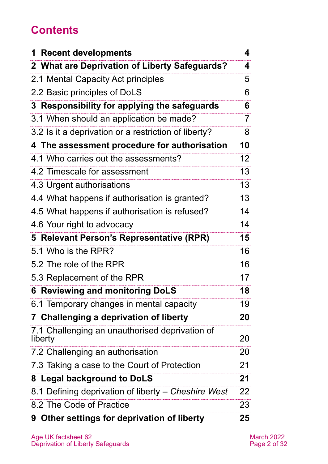# **Contents**

| <b>Recent developments</b><br>1                           | 4               |
|-----------------------------------------------------------|-----------------|
| 2 What are Deprivation of Liberty Safeguards?             | 4               |
| 2.1 Mental Capacity Act principles                        | 5               |
| 2.2 Basic principles of DoLS                              | 6               |
| 3 Responsibility for applying the safeguards              | 6               |
| 3.1 When should an application be made?                   | 7               |
| 3.2 Is it a deprivation or a restriction of liberty?      | 8               |
| 4 The assessment procedure for authorisation              | 10              |
| 4.1 Who carries out the assessments?                      | 12 <sup>2</sup> |
| 4.2 Timescale for assessment                              | 13              |
| 4.3 Urgent authorisations                                 | 13              |
| 4.4 What happens if authorisation is granted?             | 13              |
| 4.5 What happens if authorisation is refused?             | 14              |
| 4.6 Your right to advocacy                                | 14              |
| 5 Relevant Person's Representative (RPR)                  | 15              |
| 5.1 Who is the RPR?                                       | 16              |
| 5.2 The role of the RPR                                   | 16              |
| 5.3 Replacement of the RPR                                | 17              |
| 6 Reviewing and monitoring DoLS                           | 18              |
| 6.1 Temporary changes in mental capacity                  | 19              |
| 7 Challenging a deprivation of liberty                    | 20              |
| 7.1 Challenging an unauthorised deprivation of<br>liberty | 20              |
| 7.2 Challenging an authorisation                          | 20              |
| 7.3 Taking a case to the Court of Protection              | 21              |
| 8 Legal background to DoLS                                | 21              |
| 8.1 Defining deprivation of liberty – Cheshire West       | 22              |
| 8.2 The Code of Practice                                  | 23              |
| 9 Other settings for deprivation of liberty               | 25              |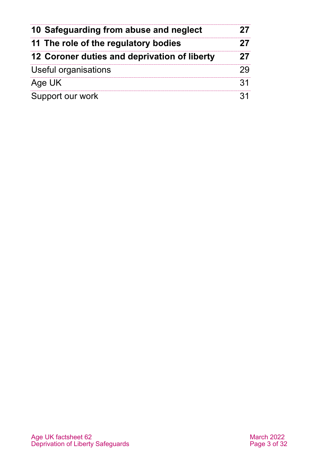| 10 Safeguarding from abuse and neglect<br>11 The role of the regulatory bodies |  |
|--------------------------------------------------------------------------------|--|
|                                                                                |  |
| Useful organisations                                                           |  |
| Age UK                                                                         |  |
| Support our work                                                               |  |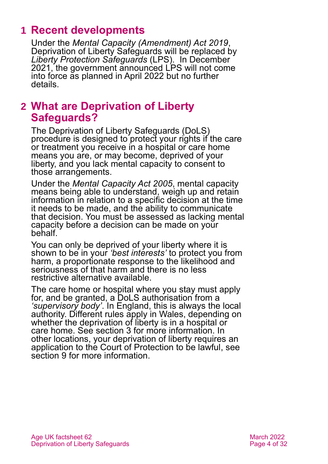# <span id="page-3-0"></span>**1 Recent developments**

Under the *[Mental Capacity \(Amendment\) Act 2019](https://www.legislation.gov.uk/ukpga/2019/18/contents)*, Deprivation of Liberty Safeguards will be replaced by *Liberty Protection Safeguards* (LPS). In December 2021, the government announced LPS will not come into force as planned in April 2022 but no further details.

# <span id="page-3-1"></span>**2 What are Deprivation of Liberty Safeguards?**

The Deprivation of Liberty Safeguards (DoLS) procedure is designed to protect your rights if the care or treatment you receive in a hospital or care home means you are, or may become, deprived of your liberty, and you lack mental capacity to consent to those arrangements.

Under the *Mental Capacity Act 2005*, mental capacity means being able to understand, weigh up and retain information in relation to a specific decision at the time it needs to be made, and the ability to communicate that decision. You must be assessed as lacking mental capacity before a decision can be made on your behalf.

You can only be deprived of your liberty where it is shown to be in your *'best interests'* to protect you from harm, a proportionate response to the likelihood and seriousness of that harm and there is no less restrictive alternative available.

The care home or hospital where you stay must [apply](http://www.mind.org.uk/information-support/legal-rights/mental-capacity-act-2005/deprivation-of-liberty/#four) for, and be granted, a [DoLS authorisation](http://www.mind.org.uk/information-support/legal-rights/mental-capacity-act-2005/deprivation-of-liberty/#four) from a *'supervisory body'*. In England, this is always the local authority. Different rules apply in Wales, depending on whether the deprivation of liberty is in a hospital or care home. See [section 3](#page-5-0) for more information. In other locations, your deprivation of liberty requires an application to the Court of Protection to be lawful, see [section 9](#page-24-0) for more information.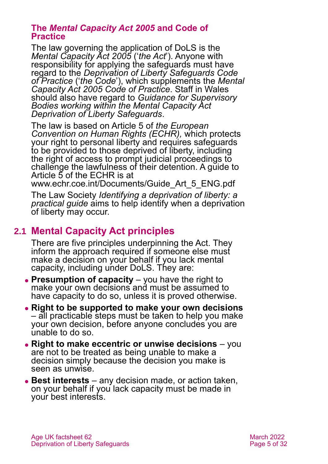#### **The** *Mental Capacity Act 2005* **and Code of Practice**

The law governing the application of DoLS is the *[Mental Capacity Act 2005](http://www.legislation.gov.uk/ukpga/2005/9/contents)* ('*the Act*'). Anyone with responsibility for applying the safeguards must have regard to the *[Deprivation of Liberty Safeguards Code](https://www.cqc.org.uk/files/deprivation-liberty-safeguards-code-practice)  [of Practice](https://www.cqc.org.uk/files/deprivation-liberty-safeguards-code-practice)* ('*the Code*'), which supplements the *[Mental](https://www.gov.uk/government/publications/mental-capacity-act-code-of-practice)  [Capacity Act 2005](https://www.gov.uk/government/publications/mental-capacity-act-code-of-practice) Code of Practice*. Staff in Wales should also have regard to *[Guidance for Supervisory](https://webarchive.nationalarchives.gov.uk/20120508110611uo_/http:/www.wales.nhs.uk/sites3/Documents/744/Guidance%20for%20Supervisory%20Bodies.pdf)  [Bodies working within the Mental Capacity Act](https://webarchive.nationalarchives.gov.uk/20120508110611uo_/http:/www.wales.nhs.uk/sites3/Documents/744/Guidance%20for%20Supervisory%20Bodies.pdf)  [Deprivation of Liberty Safeguards](https://webarchive.nationalarchives.gov.uk/20120508110611uo_/http:/www.wales.nhs.uk/sites3/Documents/744/Guidance%20for%20Supervisory%20Bodies.pdf)*.

The law is based on Article 5 of *the European Convention on Human Rights (ECHR),* which protects your right to personal liberty and requires safeguards to be provided to those deprived of liberty, including the right of access to prompt judicial proceedings to challenge the lawfulness of their detention. A guide to Article 5 of the ECHR is at

[www.echr.coe.int/Documents/Guide\\_Art\\_5\\_ENG.pdf](http://www.echr.coe.int/Documents/Guide_Art_5_ENG.pdf)

The Law Society *Identifying a [deprivation of liberty: a](https://www.lawsociety.org.uk/support-services/advice/articles/deprivation-of-liberty/)  [practical guide](https://www.lawsociety.org.uk/support-services/advice/articles/deprivation-of-liberty/)* aims to help identify when a deprivation of liberty may occur.

# **2.1 Mental Capacity Act principles**

There are five principles underpinning the Act. They inform the approach required if someone else must make a decision on your behalf if you lack mental capacity, including under DoLS. They are:

- ⚫ **Presumption of capacity** you have the right to make your own decisions and must be assumed to have capacity to do so, unless it is proved otherwise.
- ⚫ **Right to be supported to make your own decisions** – all practicable steps must be taken to help you make your own decision, before anyone concludes you are unable to do so.
- ⚫ **Right to make eccentric or unwise decisions** you are not to be treated as being unable to make a decision simply because the decision you make is seen as unwise.
- ⚫ **Best interests** any decision made, or action taken, on your behalf if you lack capacity must be made in your best interests.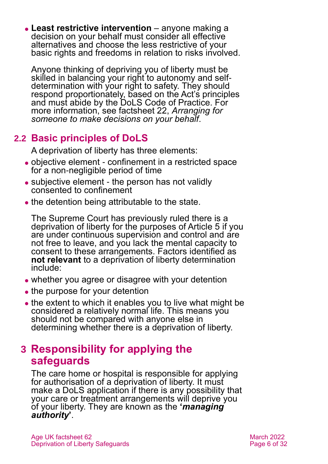⚫ **Least restrictive intervention** – anyone making a decision on your behalf must consider all effective alternatives and choose the less restrictive of your basic rights and freedoms in relation to risks involved.

Anyone thinking of depriving you of liberty must be skilled in balancing your right to autonomy and selfdetermination with your right to safety. They should respond proportionately, based on the Act's principles and must abide by the DoLS Code of Practice. For more information, see factsheet 22, *[Arranging for](https://www.ageuk.org.uk/globalassets/age-uk/documents/factsheets/fs22_arranging_for_someone_to_make_decisions_on_your_behalf_fcs.pdf)  [someone to make decisions on your behalf](https://www.ageuk.org.uk/globalassets/age-uk/documents/factsheets/fs22_arranging_for_someone_to_make_decisions_on_your_behalf_fcs.pdf)*.

# **2.2 Basic principles of DoLS**

A deprivation of liberty has three elements:

- ⚫ objective element confinement in a restricted space for a non-negligible period of time
- subjective element the person has not validly consented to confinement
- the detention being attributable to the state.

The Supreme Court has previously ruled there is a deprivation of liberty for the purposes of Article 5 if you are under continuous supervision and control and are not free to leave, and you lack the mental capacity to consent to these arrangements. Factors identified as **not relevant** to a deprivation of liberty determination include:

- whether you agree or disagree with your detention
- the purpose for your detention
- the extent to which it enables you to live what might be considered a relatively normal life. This means you should not be compared with anyone else in determining whether there is a deprivation of liberty.

# <span id="page-5-0"></span>**3 Responsibility for applying the safeguards**

The care home or hospital is responsible for applying for authorisation of a deprivation of liberty. It must make a DoLS application if there is any possibility that your care or treatment arrangements will deprive you of your liberty. They are known as the **'***managing authority***'**.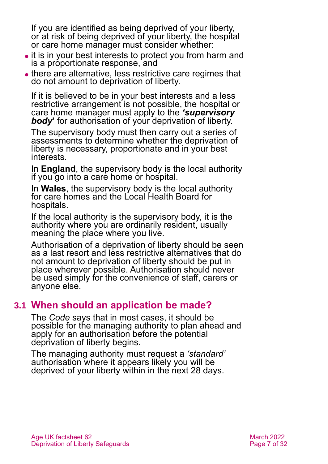If you are identified as being deprived of your liberty, or at risk of being deprived of your liberty, the hospital or care home manager must consider whether:

- ⚫ it is in your best interests to protect you from harm and is a proportionate response, and
- there are alternative, less restrictive care regimes that do not amount to deprivation of liberty.

If it is believed to be in your best interests and a less restrictive arrangement is not possible, the hospital or care home manager must apply to the *'supervisory body***'** for authorisation of your deprivation of liberty.

The supervisory body must then carry out a series of assessments to determine whether the deprivation of liberty is necessary, proportionate and in your best interests.

In **England**, the supervisory body is the local authority if you go into a care home or hospital.

In **Wales**, the supervisory body is the local authority for care homes and the Local Health Board for hospitals.

If the local authority is the supervisory body, it is the authority where you are ordinarily resident, usually meaning the place where you live.

Authorisation of a deprivation of liberty should be seen as a last resort and less restrictive alternatives that do not amount to deprivation of liberty should be put in place wherever possible. Authorisation should never be used simply for the convenience of staff, carers or anyone else.

# **3.1 When should an application be made?**

The *Code* says that in most cases, it should be possible for the managing authority to plan ahead and apply for an authorisation before the potential deprivation of liberty begins.

The managing authority must request a *'standard'* authorisation where it appears likely you will be deprived of your liberty within in the next 28 days.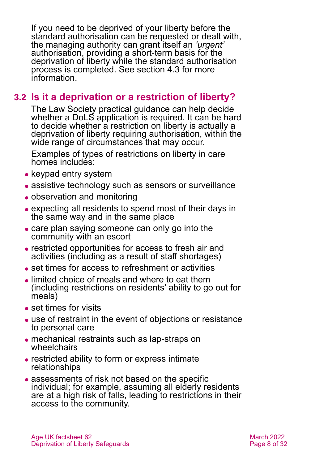If you need to be deprived of your liberty before the standard authorisation can be requested or dealt with, the managing authority can grant itself an *'urgent'* authorisation, providing a short-term basis for the deprivation of liberty while the standard authorisation process is completed. See [section 4.3](#page-12-0) for more information.

## **3.2 Is it a deprivation or a restriction of liberty?**

The Law Society practical guidance can help decide whether a DoLS application is required. It can be hard to decide whether a restriction on liberty is actually a deprivation of liberty requiring authorisation, within the wide range of circumstances that may occur.

Examples of types of restrictions on liberty in care homes includes:

- keypad entry system
- assistive technology such as sensors or surveillance
- observation and monitoring
- ⚫ expecting all residents to spend most of their days in the same way and in the same place
- ⚫ care plan saying someone can only go into the community with an escort
- ⚫ restricted opportunities for access to fresh air and activities (including as a result of staff shortages)
- set times for access to refreshment or activities
- limited choice of meals and where to eat them (including restrictions on residents' ability to go out for meals)
- set times for visits
- use of restraint in the event of objections or resistance to personal care
- ⚫ mechanical restraints such as lap-straps on wheelchairs
- ⚫ restricted ability to form or express intimate relationships
- ⚫ assessments of risk not based on the specific individual; for example, assuming all elderly residents are at a high risk of falls, leading to restrictions in their access to the community.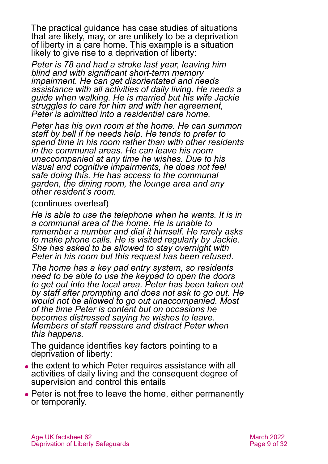The practical guidance has case studies of situations that are likely, may, or are unlikely to be a deprivation of liberty in a care home. This example is a situation likely to give rise to a deprivation of liberty:

*Peter is 78 and had a stroke last year, leaving him blind and with significant short-term memory impairment. He can get disorientated and needs assistance with all activities of daily living. He needs a guide when walking. He is married but his wife Jackie struggles to care for him and with her agreement, Peter is admitted into a residential care home.* 

*Peter has his own room at the home. He can summon staff by bell if he needs help. He tends to prefer to spend time in his room rather than with other residents in the communal areas. He can leave his room unaccompanied at any time he wishes. Due to his visual and cognitive impairments, he does not feel safe doing this. He has access to the communal garden, the dining room, the lounge area and any other resident's room.*

(continues overleaf)

*He is able to use the telephone when he wants. It is in a communal area of the home. He is unable to remember a number and dial it himself. He rarely asks to make phone calls. He is visited regularly by Jackie. She has asked to be allowed to stay overnight with Peter in his room but this request has been refused.*

*The home has a key pad entry system, so residents need to be able to use the keypad to open the doors to get out into the local area. Peter has been taken out by staff after prompting and does not ask to go out. He would not be allowed to go out unaccompanied. Most of the time Peter is content but on occasions he becomes distressed saying he wishes to leave. Members of staff reassure and distract Peter when this happens.*

The guidance identifies key factors pointing to a deprivation of liberty:

- the extent to which Peter requires assistance with all activities of daily living and the consequent degree of supervision and control this entails
- Peter is not free to leave the home, either permanently or temporarily.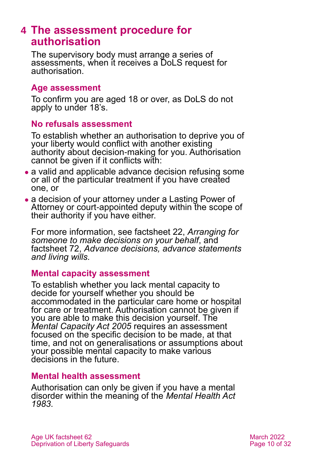# <span id="page-9-0"></span>**4 The assessment procedure for authorisation**

The supervisory body must arrange a series of assessments, when it receives a DoLS request for authorisation.

#### **Age assessment**

To confirm you are aged 18 or over, as DoLS do not apply to under 18's.

#### **No refusals assessment**

To establish whether an authorisation to deprive you of your liberty would conflict with another existing authority about decision-making for you. Authorisation cannot be given if it conflicts with:

- a valid and applicable advance decision refusing some or all of the particular treatment if you have created one, or
- a decision of your attorney under a Lasting Power of Attorney or court-appointed deputy within the scope of their authority if you have either.

For more information, see factsheet 22, *[Arranging for](https://www.ageuk.org.uk/globalassets/age-uk/documents/factsheets/fs22_arranging_for_someone_to_make_decisions_on_your_behalf_fcs.pdf)  [someone to make decisions on your behalf](https://www.ageuk.org.uk/globalassets/age-uk/documents/factsheets/fs22_arranging_for_someone_to_make_decisions_on_your_behalf_fcs.pdf)*, and factsheet 72, *[Advance decisions, advance statements](https://www.ageuk.org.uk/globalassets/age-uk/documents/factsheets/fs72_advance_decisions_advance_statements_and_living_wills_fcs.pdf)  [and living wills.](https://www.ageuk.org.uk/globalassets/age-uk/documents/factsheets/fs72_advance_decisions_advance_statements_and_living_wills_fcs.pdf)* 

### **Mental capacity assessment**

To establish whether you lack mental capacity to decide for yourself whether you should be accommodated in the particular care home or hospital for care or treatment. Authorisation cannot be given if you are able to make this decision yourself. The *Mental Capacity Act 2005* requires an assessment focused on the specific decision to be made, at that time, and not on generalisations or assumptions about your possible mental capacity to make various decisions in the future.

### **Mental health assessment**

Authorisation can only be given if you have a mental disorder within the meaning of the *Mental Health Act 1983*.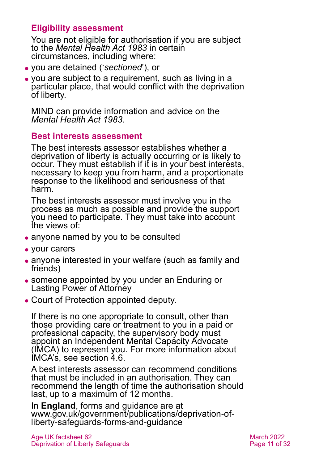### **Eligibility assessment**

You are not eligible for authorisation if you are subject to the *Mental Health Act 1983* in certain circumstances, including where:

- ⚫ you are detained ('*sectioned*'), or
- ⚫ you are subject to a requirement, such as living in a particular place, that would conflict with the deprivation of liberty.

MIND can provide information and advice on the *Mental Health Act 1983*.

#### **Best interests assessment**

The best interests assessor establishes whether a deprivation of liberty is actually occurring or is likely to occur. They must establish if it is in your best interests, necessary to keep you from harm, and a proportionate response to the likelihood and seriousness of that harm.

The best interests assessor must involve you in the process as much as possible and provide the support you need to participate. They must take into account the views of:

- ⚫ anyone named by you to be consulted
- ⚫ your carers
- ⚫ anyone interested in your welfare (such as family and friends)
- ⚫ someone appointed by you under an Enduring or Lasting Power of Attorney
- ⚫ Court of Protection appointed deputy.

If there is no one appropriate to consult, other than those providing care or treatment to you in a paid or professional capacity, the supervisory body must appoint an Independent Mental Capacity Advocate (IMCA) to represent you. For more information about IMCA's, see [section 4.6.](#page-13-0)

A best interests assessor can recommend conditions that must be included in an authorisation. They can recommend the length of time the authorisation should last, up to a maximum of 12 months.

In **England**, forms and guidance are at [www.gov.uk/government/publications/deprivation-of](http://www.gov.uk/government/publications/deprivation-of-liberty-safeguards-forms-and-guidance)[liberty-safeguards-forms-and-guidance](http://www.gov.uk/government/publications/deprivation-of-liberty-safeguards-forms-and-guidance)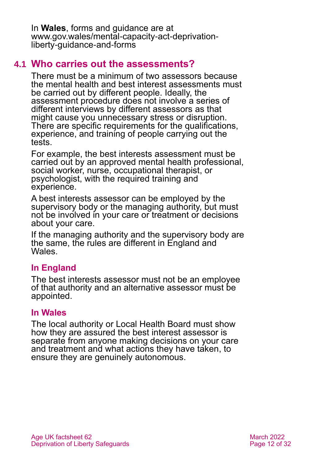In **Wales**, forms and guidance are at [www.gov.wales/mental-capacity-act-deprivation](http://www.gov.wales/mental-capacity-act-deprivation-liberty-guidance-and-forms)[liberty-guidance-and-forms](http://www.gov.wales/mental-capacity-act-deprivation-liberty-guidance-and-forms)

## **4.1 Who carries out the assessments?**

There must be a minimum of two assessors because the mental health and best interest assessments must be carried out by different people. Ideally, the assessment procedure does not involve a series of different interviews by different assessors as that might cause you unnecessary stress or disruption. There are specific requirements for the qualifications, experience, and training of people carrying out the tests.

For example, the best interests assessment must be carried out by an approved mental health professional, social worker, nurse, occupational therapist, or psychologist, with the required training and experience.

A best interests assessor can be employed by the supervisory body or the managing authority, but must not be involved in your care or treatment or decisions about your care.

If the managing authority and the supervisory body are the same, the rules are different in England and **Wales** 

## **In England**

The best interests assessor must not be an employee of that authority and an alternative assessor must be appointed.

### **In Wales**

The local authority or Local Health Board must show how they are assured the best interest assessor is separate from anyone making decisions on your care and treatment and what actions they have taken, to ensure they are genuinely autonomous.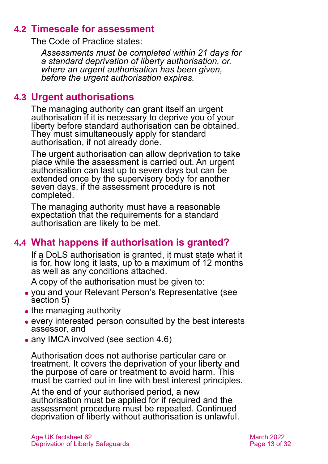## **4.2 Timescale for assessment**

The Code of Practice states:

*Assessments must be completed within 21 days for a standard deprivation of liberty authorisation, or, where an urgent authorisation has been given, before the urgent authorisation expires.*

### <span id="page-12-0"></span>**4.3 Urgent authorisations**

The managing authority can grant itself an urgent authorisation if it is necessary to deprive you of your liberty before standard authorisation can be obtained. They must simultaneously apply for standard authorisation, if not already done.

The urgent authorisation can allow deprivation to take place while the assessment is carried out. An urgent authorisation can last up to seven days but can be extended once by the supervisory body for another seven days, if the assessment procedure is not completed.

The managing authority must have a reasonable expectation that the requirements for a standard authorisation are likely to be met.

# **4.4 What happens if authorisation is granted?**

If a DoLS authorisation is granted, it must state what it is for, how long it lasts, up to a maximum of 12 months as well as any conditions attached.

A copy of the authorisation must be given to:

- ⚫ you and your Relevant Person's Representative [\(see](#page-14-0)  [section 5\)](#page-14-0)
- the managing authority
- ⚫ every interested person consulted by the best interests assessor, and
- any IMCA involved (see section 4.6)

Authorisation does not authorise particular care or treatment. It covers the deprivation of your liberty and the purpose of care or treatment to avoid harm. This must be carried out in line with best interest principles.

At the end of your authorised period, a new authorisation must be applied for if required and the assessment procedure must be repeated. Continued deprivation of liberty without authorisation is unlawful.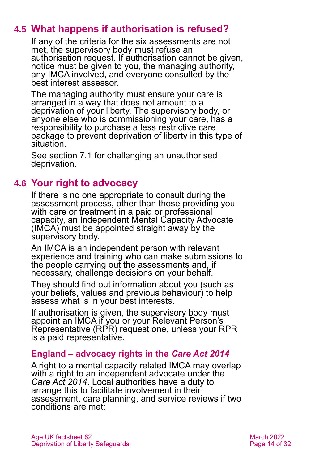# **4.5 What happens if authorisation is refused?**

If any of the criteria for the six assessments are not met, the supervisory body must refuse an authorisation request. If authorisation cannot be given, notice must be given to you, the managing authority, any IMCA involved, and everyone consulted by the best interest assessor.

The managing authority must ensure your care is arranged in a way that does not amount to a deprivation of your liberty. The supervisory body, or anyone else who is commissioning your care, has a responsibility to purchase a less restrictive care package to prevent deprivation of liberty in this type of situation.

<span id="page-13-0"></span>See [section 7.1](#page-19-1) for challenging an unauthorised deprivation.

# **4.6 Your right to advocacy**

If there is no one appropriate to consult during the assessment process, other than those providing you with care or treatment in a paid or professional capacity, an Independent Mental Capacity Advocate (IMCA) must be appointed straight away by the supervisory body.

An IMCA is an independent person with relevant experience and training who can make submissions to the people carrying out the assessments and, if necessary, challenge decisions on your behalf.

They should find out information about you (such as your beliefs, values and previous behaviour) to help assess what is in your best interests.

If authorisation is given, the supervisory body must appoint an IMCA if you or your Relevant Person's Representative (RPR) request one, unless your RPR is a paid representative.

### **England – advocacy rights in the** *Care Act 2014*

A right to a mental capacity related IMCA may overlap with a right to an independent advocate under the *[Care Act 2014](https://www.legislation.gov.uk/ukpga/2014/23/contents)*. Local authorities have a duty to arrange this to facilitate involvement in their assessment, care planning, and service reviews if two conditions are met: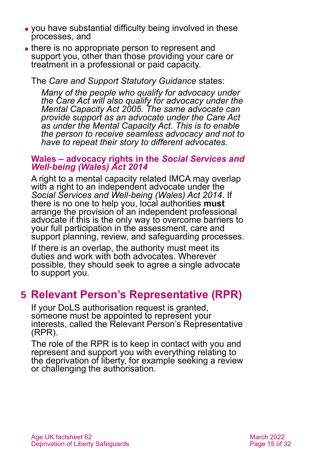- ⚫ you have substantial difficulty being involved in these processes, and
- there is no appropriate person to represent and support you, other than those providing your care or treatment in a professional or paid capacity.

The *Care and Support Statutory Guidance* states:

*Many of the people who qualify for advocacy under the Care Act will also qualify for advocacy under the Mental Capacity Act 2005. The same advocate can provide support as an advocate under the Care Act as under the Mental Capacity Act. This is to enable the person to receive seamless advocacy and not to have to repeat their story to different advocates.*

#### **Wales – advocacy rights in the** *Social Services and Well-being (Wales) Act 2014*

A right to a mental capacity related IMCA may overlap with a right to an independent advocate under the *[Social Services and Well-being \(Wales\) Act 2014](https://www.legislation.gov.uk/anaw/2014/4/contents)*. If there is no one to help you, local authorities **must** arrange the provision of an independent professional advocate if this is the only way to overcome barriers to your full participation in the assessment, care and support planning, review, and safeguarding processes.

If there is an overlap, the authority must meet its duties and work with both advocates. Wherever possible, they should seek to agree a single advocate to support you.

# <span id="page-14-0"></span>**5 Relevant Person's Representative (RPR)**

If your DoLS authorisation request is granted, someone must be appointed to represent your interests, called the Relevant Person's Representative (RPR).

The role of the RPR is to keep in contact with you and represent and support you with everything relating to the deprivation of liberty, for example seeking a review or challenging the authorisation.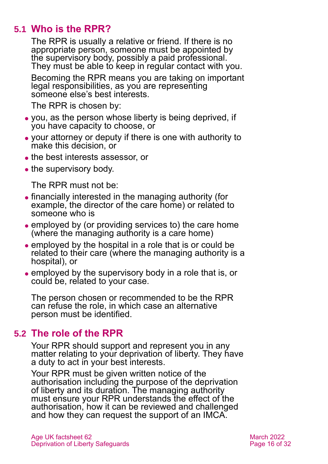## **5.1 Who is the RPR?**

<span id="page-15-0"></span>The RPR is usually a relative or friend. If there is no appropriate person, someone must be appointed by the supervisory body, possibly a paid professional. They must be able to keep in regular contact with you.

Becoming the RPR means you are taking on important legal responsibilities, as you are representing someone else's best interests.

The RPR is chosen by:

- ⚫ you, as the person whose liberty is being deprived, if you have capacity to choose, or
- ⚫ your attorney or deputy if there is one with authority to make this decision, or
- ⚫ the best interests assessor, or
- the supervisory body.

The RPR must not be:

- ⚫ financially interested in the managing authority (for example, the director of the care home) or related to someone who is
- ⚫ employed by (or providing services to) the care home (where the managing authority is a care home)
- ⚫ employed by the hospital in a role that is or could be related to their care (where the managing authority is a hospital), or
- ⚫ employed by the supervisory body in a role that is, or could be, related to your case.

The person chosen or recommended to be the RPR can refuse the role, in which case an alternative person must be identified.

## **5.2 The role of the RPR**

Your RPR should support and represent you in any matter relating to your deprivation of liberty. They have a duty to act in your best interests.

Your RPR must be given written notice of the authorisation including the purpose of the deprivation of liberty and its duration. The managing authority must ensure your RPR understands the effect of the authorisation, how it can be reviewed and challenged and how they can request the support of an IMCA.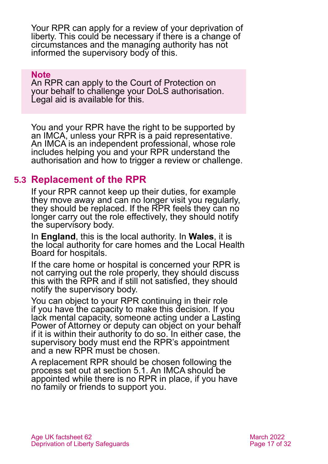Your RPR can apply for a review of your deprivation of liberty. This could be necessary if there is a change of circumstances and the managing authority has not informed the supervisory body of this.

#### **Note**

An RPR can apply to the Court of Protection on your behalf to challenge your DoLS authorisation. Legal aid is available for this.

You and your RPR have the right to be supported by an IMCA, unless your RPR is a paid representative. An IMCA is an independent professional, whose role includes helping you and your RPR understand the authorisation and how to trigger a review or challenge.

## **5.3 Replacement of the RPR**

If your RPR cannot keep up their duties, for example they move away and can no longer visit you regularly, they should be replaced. If the RPR feels they can no longer carry out the role effectively, they should notify the supervisory body.

In **England**, this is the local authority. In **Wales**, it is the local authority for care homes and the Local Health Board for hospitals.

If the care home or hospital is concerned your RPR is not carrying out the role properly, they should discuss this with the RPR and if still not satisfied, they should notify the supervisory body.

You can object to your RPR continuing in their role if you have the capacity to make this decision. If you lack mental capacity, someone acting under a Lasting Power of Attorney or deputy can object on your behalf if it is within their authority to do so. In either case, the supervisory body must end the RPR's appointment and a new RPR must be chosen.

A replacement RPR should be chosen following the process set out at [section 5.1.](#page-15-0) An IMCA should be appointed while there is no RPR in place, if you have no family or friends to support you.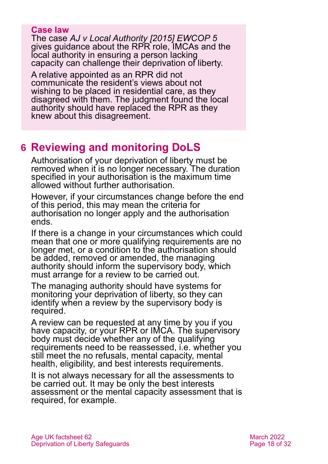#### **Case law**

The case *[AJ v Local Authority \[2015\] EWCOP 5](http://www.bailii.org/ew/cases/EWCOP/2015/5.html)* gives guidance about the RPR role, IMCAs and the local authority in ensuring a person lacking capacity can challenge their deprivation of liberty.

A relative appointed as an RPR did not communicate the resident's views about not wishing to be placed in residential care, as they disagreed with them. The judgment found the local authority should have replaced the RPR as they knew about this disagreement.

# <span id="page-17-0"></span>**6 Reviewing and monitoring DoLS**

Authorisation of your deprivation of liberty must be removed when it is no longer necessary. The duration specified in your authorisation is the maximum time allowed without further authorisation.

However, if your circumstances change before the end of this period, this may mean the criteria for authorisation no longer apply and the authorisation ends.

If there is a change in your circumstances which could mean that one or more qualifying requirements are no longer met, or a condition to the authorisation should be added, removed or amended, the managing authority should inform the supervisory body, which must arrange for a review to be carried out.

The managing authority should have systems for monitoring your deprivation of liberty, so they can identify when a review by the supervisory body is required.

A review can be requested at any time by you if you have capacity, or your RPR or IMCA. The supervisory body must decide whether any of the qualifying requirements need to be reassessed, i.e. whether you still meet the no refusals, mental capacity, mental health, eligibility, and best interests requirements.

It is not always necessary for all the assessments to be carried out. It may be only the best interests assessment or the mental capacity assessment that is required, for example.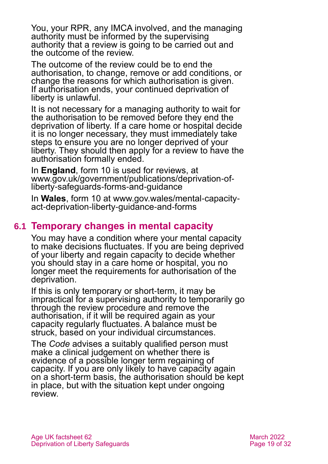You, your RPR, any IMCA involved, and the managing authority must be informed by the supervising authority that a review is going to be carried out and the outcome of the review.

The outcome of the review could be to end the authorisation, to change, remove or add conditions, or change the reasons for which authorisation is given. If authorisation ends, your continued deprivation of liberty is unlawful.

It is not necessary for a managing authority to wait for the authorisation to be removed before they end the deprivation of liberty. If a care home or hospital decide it is no longer necessary, they must immediately take steps to ensure you are no longer deprived of your liberty. They should then apply for a review to have the authorisation formally ended.

In **England**, form 10 is used for reviews, at [www.gov.uk/government/publications/deprivation-of](http://www.gov.uk/government/publications/deprivation-of-liberty-safeguards-forms-and-guidance)[liberty-safeguards-forms-and-guidance](http://www.gov.uk/government/publications/deprivation-of-liberty-safeguards-forms-and-guidance)

In **Wales**, form 10 at [www.gov.wales/mental-capacity](https://gov.wales/mental-capacity-act-deprivation-liberty-guidance-and-forms)[act-deprivation-liberty-guidance-and-forms](https://gov.wales/mental-capacity-act-deprivation-liberty-guidance-and-forms)

## **6.1 Temporary changes in mental capacity**

You may have a condition where your mental capacity to make decisions fluctuates. If you are being deprived of your liberty and regain capacity to decide whether you should stay in a care home or hospital, you no longer meet the requirements for authorisation of the deprivation.

If this is only temporary or short-term, it may be impractical for a supervising authority to temporarily go through the review procedure and remove the authorisation, if it will be required again as your capacity regularly fluctuates. A balance must be struck, based on your individual circumstances.

The *Code* advises a suitably qualified person must make a clinical judgement on whether there is evidence of a possible longer term regaining of capacity. If you are only likely to have capacity again on a short-term basis, the authorisation should be kept in place, but with the situation kept under ongoing review.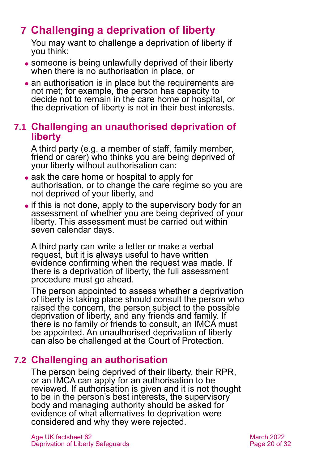# <span id="page-19-0"></span>**7 Challenging a deprivation of liberty**

You may want to challenge a deprivation of liberty if you think:

- someone is being unlawfully deprived of their liberty when there is no authorisation in place, or
- an authorisation is in place but the requirements are not met; for example, the person has capacity to decide not to remain in the care home or hospital, or the deprivation of liberty is not in their best interests.

### <span id="page-19-1"></span>**7.1 Challenging an unauthorised deprivation of liberty**

A third party (e.g. a member of staff, family member, friend or carer) who thinks you are being deprived of your liberty without authorisation can:

- ask the care home or hospital to apply for authorisation, or to change the care regime so you are not deprived of your liberty, and
- if this is not done, apply to the supervisory body for an assessment of whether you are being deprived of your liberty. This assessment must be carried out within seven calendar days.

A third party can write a letter or make a verbal request, but it is always useful to have written evidence confirming when the request was made. If there is a deprivation of liberty, the full assessment procedure must go ahead.

The person appointed to assess whether a deprivation of liberty is taking place should consult the person who raised the concern, the person subject to the possible deprivation of liberty, and any friends and family. If there is no family or friends to consult, an IMCA must be appointed. An unauthorised deprivation of liberty can also be challenged at the Court of Protection.

# **7.2 Challenging an authorisation**

The person being deprived of their liberty, their RPR, or an IMCA can apply for an authorisation to be reviewed. If authorisation is given and it is not thought to be in the person's best interests, the supervisory body and managing authority should be asked for evidence of what alternatives to deprivation were considered and why they were rejected.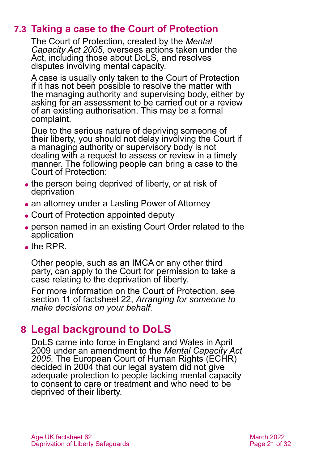# **7.3 Taking a case to the Court of Protection**

The Court of Protection, created by the *Mental Capacity Act 2005,* oversees actions taken under the Act, including those about DoLS, and resolves disputes involving mental capacity.

A case is usually only taken to the Court of Protection if it has not been possible to resolve the matter with the managing authority and supervising body, either by asking for an assessment to be carried out or a review of an existing authorisation. This may be a formal complaint.

Due to the serious nature of depriving someone of their liberty, you should not delay involving the Court if a managing authority or supervisory body is not dealing with a request to assess or review in a timely manner. The following people can bring a case to the Court of Protection:

- the person being deprived of liberty, or at risk of deprivation
- ⚫ an attorney under a Lasting Power of Attorney
- ⚫ Court of Protection appointed deputy
- ⚫ person named in an existing Court Order related to the application
- $\bullet$  the RPR.

Other people, such as an IMCA or any other third party, can apply to the Court for permission to take a case relating to the deprivation of liberty.

For more information on the Court of Protection, see [section 11](#page-26-1) of factsheet 22, *[Arranging for someone to](https://www.ageuk.org.uk/globalassets/age-uk/documents/factsheets/fs22_arranging_for_someone_to_make_decisions_on_your_behalf_fcs.pdf)  [make decisions on your behalf.](https://www.ageuk.org.uk/globalassets/age-uk/documents/factsheets/fs22_arranging_for_someone_to_make_decisions_on_your_behalf_fcs.pdf)*

# <span id="page-20-0"></span>**8 Legal background to DoLS**

DoLS came into force in England and Wales in April 2009 under an amendment to the *[Mental Capacity Act](http://www.legislation.gov.uk/ukpga/2005/9/contents)  [2005](http://www.legislation.gov.uk/ukpga/2005/9/contents)*. The European Court of Human Rights (ECHR) decided in 2004 that our legal system did not give adequate protection to people lacking mental capacity to consent to care or treatment and who need to be deprived of their liberty.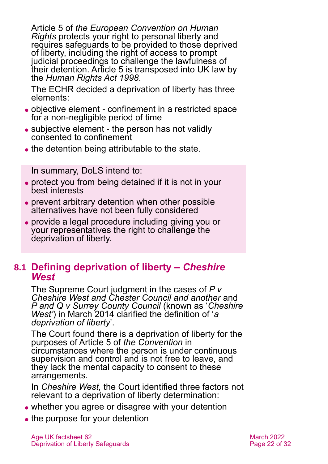Article 5 of *the European Convention on Human Rights* protects your right to personal liberty and requires safeguards to be provided to those deprived of liberty, including the right of access to prompt judicial proceedings to challenge the lawfulness of their detention. Article 5 is transposed into UK law by the *[Human Rights Act 1998](http://www.legislation.gov.uk/ukpga/1998/42/contents)*.

The ECHR decided a deprivation of liberty has three elements:

- ⚫ objective element confinement in a restricted space for a non-negligible period of time
- ⚫ subjective element the person has not validly consented to confinement
- the detention being attributable to the state.

In summary, DoLS intend to:

- ⚫ protect you from being detained if it is not in your best interests
- ⚫ prevent arbitrary detention when other possible alternatives have not been fully considered
- ⚫ provide a legal procedure including giving you or your representatives the right to challenge the deprivation of liberty.

### **8.1 Defining deprivation of liberty –** *Cheshire West*

The Supreme Court judgment in the cases of *[P v](https://www.supremecourt.uk/cases/docs/uksc-2012-0068-judgment.pdf)  Cheshire West [and Chester Council and another](https://www.supremecourt.uk/cases/docs/uksc-2012-0068-judgment.pdf)* and *[P and Q v Surrey County Council](https://www.supremecourt.uk/cases/docs/uksc-2012-0068-judgment.pdf)* (known as '*Cheshire West'*) in March 2014 clarified the definition of '*a deprivation of liberty*'.

The Court found there is a deprivation of liberty for the purposes of Article 5 of *the Convention* in circumstances where the person is under continuous supervision and control and is not free to leave, and they lack the mental capacity to consent to these arrangements.

In *Cheshire West,* the Court identified three factors not relevant to a deprivation of liberty determination:

- whether you agree or disagree with your detention
- the purpose for your detention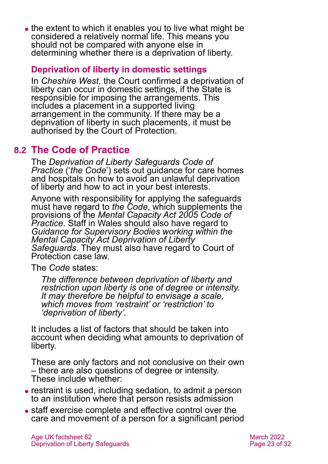• the extent to which it enables you to live what might be considered a relatively normal life. This means you should not be compared with anyone else in determining whether there is a deprivation of liberty.

### **Deprivation of liberty in domestic settings**

In *Cheshire West,* the Court confirmed a deprivation of liberty can occur in domestic settings, if the State is responsible for imposing the arrangements. This includes a placement in a supported living arrangement in the community. If there may be a deprivation of liberty in such placements, it must be authorised by the Court of Protection.

# **8.2 The Code of Practice**

The *[Deprivation of Liberty Safeguards Code of](https://www.cqc.org.uk/files/deprivation-liberty-safeguards-code-practice)  [Practice](https://www.cqc.org.uk/files/deprivation-liberty-safeguards-code-practice)* ('*the Code*') sets out guidance for care homes and hospitals on how to avoid an unlawful deprivation of liberty and how to act in your best interests.

Anyone with responsibility for applying the safeguards must have regard to *the Code*, which supplements the provisions of the *[Mental Capacity Act 2005](https://www.gov.uk/government/publications/mental-capacity-act-code-of-practice) Code of [Practice](https://www.gov.uk/government/publications/mental-capacity-act-code-of-practice)*. Staff in Wales should also have regard to *[Guidance for Supervisory Bodies working within the](https://webarchive.nationalarchives.gov.uk/20120508110611uo_/http:/www.wales.nhs.uk/sites3/Documents/744/Guidance%20for%20Supervisory%20Bodies.pdf) [Mental Capacity Act Deprivation of Liberty](https://webarchive.nationalarchives.gov.uk/20120508110611uo_/http:/www.wales.nhs.uk/sites3/Documents/744/Guidance%20for%20Supervisory%20Bodies.pdf)  [Safeguards](https://webarchive.nationalarchives.gov.uk/20120508110611uo_/http:/www.wales.nhs.uk/sites3/Documents/744/Guidance%20for%20Supervisory%20Bodies.pdf)*. They must also have regard to Court of Protection case law.

The *Code* states:

*The difference between deprivation of liberty and restriction upon liberty is one of degree or intensity. It may therefore be helpful to envisage a scale, which moves from 'restraint' or 'restriction' to 'deprivation of liberty'.*

It includes a list of factors that should be taken into account when deciding what amounts to deprivation of liberty.

These are only factors and not conclusive on their own – there are also questions of degree or intensity. These include whether:

- ⚫ restraint is used, including sedation, to admit a person to an institution where that person resists admission
- ⚫ staff exercise complete and effective control over the care and movement of a person for a significant period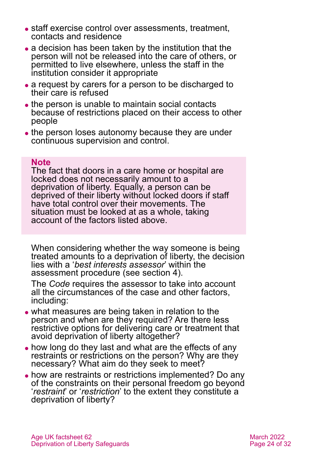- staff exercise control over assessments, treatment, contacts and residence
- ⚫ a decision has been taken by the institution that the person will not be released into the care of others, or permitted to live elsewhere, unless the staff in the institution consider it appropriate
- a request by carers for a person to be discharged to their care is refused
- the person is unable to maintain social contacts because of restrictions placed on their access to other people
- ⚫ the person loses autonomy because they are under continuous supervision and control.

#### **Note**

The fact that doors in a care home or hospital are locked does not necessarily amount to a deprivation of liberty. Equally, a person can be deprived of their liberty without locked doors if staff have total control over their movements. The situation must be looked at as a whole, taking account of the factors listed above.

When considering whether the way someone is being treated amounts to a deprivation of liberty, the decision lies with a '*best interests assessor*' within the assessment procedure [\(see section 4\)](#page-9-0).

The *Code* requires the assessor to take into account all the circumstances of the case and other factors, including:

- ⚫ what measures are being taken in relation to the person and when are they required? Are there less restrictive options for delivering care or treatment that avoid deprivation of liberty altogether?
- how long do they last and what are the effects of any restraints or restrictions on the person? Why are they necessary? What aim do they seek to meet?
- ⚫ how are restraints or restrictions implemented? Do any of the constraints on their personal freedom go beyond '*restraint*' or '*restriction*' to the extent they constitute a deprivation of liberty?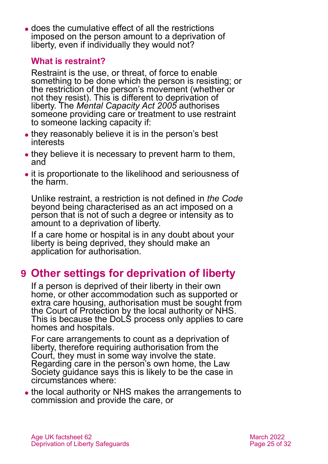⚫ does the cumulative effect of all the restrictions imposed on the person amount to a deprivation of liberty, even if individually they would not?

### **What is restraint?**

Restraint is the use, or threat, of force to enable something to be done which the person is resisting; or the restriction of the person's movement (whether or not they resist). This is different to deprivation of liberty. The *Mental Capacity Act 2005* authorises someone providing care or treatment to use restraint to someone lacking capacity if:

- they reasonably believe it is in the person's best interests
- they believe it is necessary to prevent harm to them, and
- ⚫ it is proportionate to the likelihood and seriousness of the harm.

Unlike restraint, a restriction is not defined in *the Code* beyond being characterised as an act imposed on a person that is not of such a degree or intensity as to amount to a deprivation of liberty.

If a care home or hospital is in any doubt about your liberty is being deprived, they should make an application for authorisation.

# <span id="page-24-0"></span>**9 Other settings for deprivation of liberty**

If a person is deprived of their liberty in their own home, or other accommodation such as supported or extra care housing, authorisation must be sought from the Court of Protection by the local authority or NHS. This is because the DoLS process only applies to care homes and hospitals.

For care arrangements to count as a deprivation of liberty, therefore requiring authorisation from the Court, they must in some way involve the state. Regarding care in the person's own home, the Law Society guidance says this is likely to be the case in circumstances where:

• the local authority or NHS makes the arrangements to commission and provide the care, or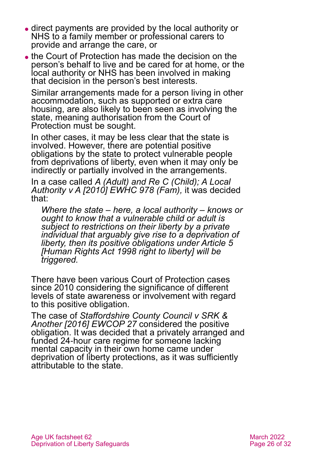- ⚫ direct payments are provided by the local authority or NHS to a family member or professional carers to provide and arrange the care, or
- ⚫ the Court of Protection has made the decision on the person's behalf to live and be cared for at home, or the local authority or NHS has been involved in making that decision in the person's best interests.

Similar arrangements made for a person living in other accommodation, such as supported or extra care housing, are also likely to been seen as involving the state, meaning authorisation from the Court of Protection must be sought.

In other cases, it may be less clear that the state is involved. However, there are potential positive obligations by the state to protect vulnerable people from deprivations of liberty, even when it may only be indirectly or partially involved in the arrangements.

In a case called *[A \(Adult\) and Re C \(Child\); A Local](http://www.bailii.org/ew/cases/EWHC/Fam/2010/978.html)  [Authority v A \[2010\] EWHC 978 \(Fam\),](http://www.bailii.org/ew/cases/EWHC/Fam/2010/978.html)* it was decided that:

*Where the state – here, a local authority – knows or ought to know that a vulnerable child or adult is subject to restrictions on their liberty by a private individual that arguably give rise to a deprivation of liberty, then its positive obligations under Article 5 [Human Rights Act 1998 right to liberty] will be triggered.*

There have been various Court of Protection cases since 2010 considering the significance of different levels of state awareness or involvement with regard to this positive obligation.

The case of *[Staffordshire County Council v SRK &](https://www.bailii.org/ew/cases/EWCOP/2016/27.html)  [Another \[2016\] EWCOP 27](https://www.bailii.org/ew/cases/EWCOP/2016/27.html)* considered the positive obligation. It was decided that a privately arranged and funded 24-hour care regime for someone lacking mental capacity in their own home came under deprivation of liberty protections, as it was sufficiently attributable to the state.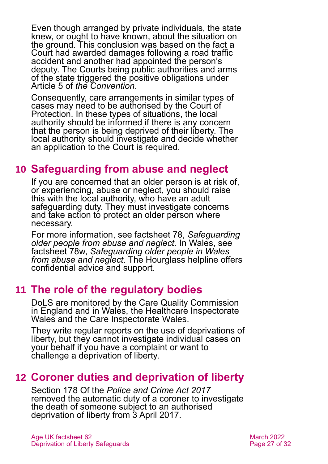Even though arranged by private individuals, the state knew, or ought to have known, about the situation on the ground. This conclusion was based on the fact a Court had awarded damages following a road traffic accident and another had appointed the person's deputy. The Courts being public authorities and arms of the state triggered the positive obligations under Article 5 of *the Convention*.

Consequently, care arrangements in similar types of cases may need to be authorised by the Court of Protection. In these types of situations, the local authority should be informed if there is any concern that the person is being deprived of their liberty. The local authority should investigate and decide whether an application to the Court is required.

# <span id="page-26-0"></span>**10 Safeguarding from abuse and neglect**

If you are concerned that an older person is at risk of, or experiencing, abuse or neglect, you should raise this with the local authority, who have an adult safeguarding duty. They must investigate concerns and take action to protect an older person where necessary.

For more information, see factsheet 78, *[Safeguarding](https://www.ageuk.org.uk/globalassets/age-uk/documents/factsheets/fs78_safeguarding_older_people_from_abuse_fcs.pdf)  [older people from abuse and neglect.](https://www.ageuk.org.uk/globalassets/age-uk/documents/factsheets/fs78_safeguarding_older_people_from_abuse_fcs.pdf)* In Wales, see factsheet 78w, *[Safeguarding older people in Wales](https://www.ageuk.org.uk/globalassets/age-cymru/documents/information-guides-and-factsheets/fs78w.pdf)  [from abuse and neglect](https://www.ageuk.org.uk/globalassets/age-cymru/documents/information-guides-and-factsheets/fs78w.pdf)*. The [Hourglass](#page-29-0) helpline offers confidential advice and support.

# <span id="page-26-1"></span>**11 The role of the regulatory bodies**

DoLS are monitored by the [Care Quality Commission](http://www.cqc.org.uk/) in England and in Wales, the [Healthcare Inspectorate](http://www.hiw.org.uk/)  [Wales](http://www.hiw.org.uk/) and the Care Inspectorate Wales.

They write regular reports on the use of deprivations of liberty, but they cannot investigate individual cases on your behalf if you have a complaint or want to challenge a deprivation of liberty.

# <span id="page-26-2"></span>**12 Coroner duties and deprivation of liberty**

Section 178 Of the *Police and Crime Act 2017* removed the automatic duty of a coroner to investigate the death of someone subject to an authorised deprivation of liberty from 3 April 2017.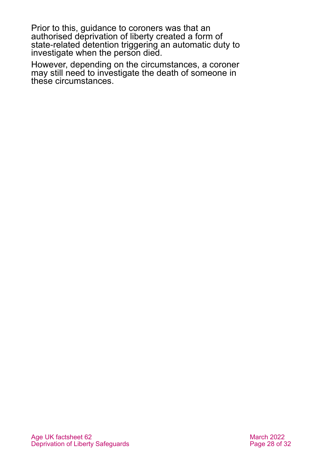Prior to this, guidance to coroners was that an authorised deprivation of liberty created a form of state-related detention triggering an automatic duty to investigate when the person died.

However, depending on the circumstances, a coroner may still need to investigate the death of someone in these circumstances.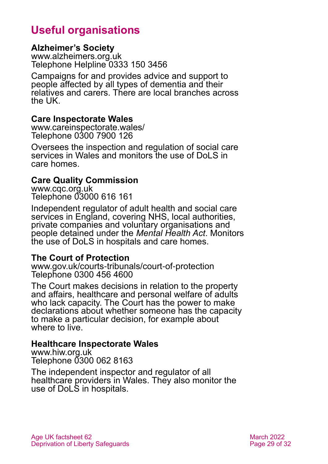# **Useful organisations**

#### <span id="page-28-0"></span>**Alzheimer's Society**

[www.alzheimers.org.uk](http://www.alzheimers.org.uk/) Telephone Helpline 0333 150 3456

Campaigns for and provides advice and support to people affected by all types of dementia and their relatives and carers. There are local branches across the UK.

#### **Care Inspectorate Wales**

[www.careinspectorate.wales/](http://www.careinspectorate.wales/) Telephone 0300 7900 126

Oversees the inspection and regulation of social care services in Wales and monitors the use of DoLS in care homes.

#### **Care Quality Commission**

[www.cqc.org.uk](http://www.cqc.org.uk/) Telephone 03000 616 161

Independent regulator of adult health and social care services in England, covering NHS, local authorities, private companies and voluntary organisations and people detained under the *Mental Health Act*. Monitors the use of DoLS in hospitals and care homes.

#### **The Court of Protection**

[www.gov.uk/courts-tribunals/court-of-protection](http://www.gov.uk/courts-tribunals/court-of-protection) Telephone 0300 456 4600

The Court makes decisions in relation to the property and affairs, healthcare and personal welfare of adults who lack capacity. The Court has the power to make declarations about whether someone has the capacity to make a particular decision, for example about where to live.

#### **Healthcare Inspectorate Wales**

[www.hiw.org.uk](http://www.hiw.org.uk/) Telephone 0300 062 8163

The independent inspector and regulator of all healthcare providers in Wales. They also monitor the use of DoLS in hospitals.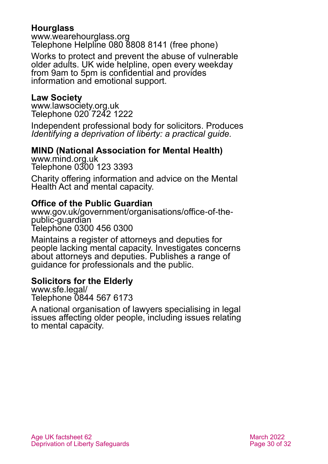### <span id="page-29-0"></span>**Hourglass**

[www.wearehourglass.org](http://www.wearehourglass.org/) Telephone Helpline 080 8808 8141 (free phone)

Works to protect and prevent the abuse of vulnerable older adults. UK wide helpline, open every weekday from 9am to 5pm is confidential and provides information and emotional support.

#### **Law Society**

[www.lawsociety.org.uk](http://www.lawsociety.org.uk/) Telephone 020 7242 1222

Independent professional body for solicitors. Produces *Identifying a deprivation of liberty: a practical guide.*

### **MIND (National Association for Mental Health)**

[www.mind.org.uk](http://www.mind.org.uk/) Telephone 0300 123 3393

Charity offering information and advice on the Mental Health Act and mental capacity.

### **Office of the Public Guardian**

[www.gov.uk/government/organisations/office-of-the](http://www.gov.uk/government/organisations/office-of-the-public-guardian)[public-guardian](http://www.gov.uk/government/organisations/office-of-the-public-guardian) Telephone 0300 456 0300

Maintains a register of attorneys and deputies for people lacking mental capacity. Investigates concerns about attorneys and deputies. Publishes a range of guidance for professionals and the public.

### **Solicitors for the Elderly**

[www.sfe.legal/](http://www.sfe.legal/) Telephone 0844 567 6173

A national organisation of lawyers specialising in legal issues affecting older people, including issues relating to mental capacity.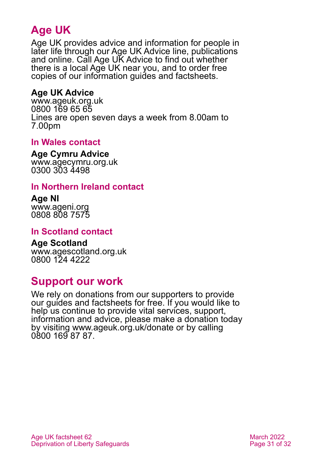# **Age UK**

Age UK provides advice and information for people in later life through our Age UK Advice line, publications and online. Call Age UK Advice to find out whether there is a local Age UK near you, and to order free copies of our information guides and factsheets.

### <span id="page-30-1"></span>**Age UK Advice**

[www.ageuk.org.uk](http://www.ageuk.org.uk/) 0800 169 65 65 Lines are open seven days a week from 8.00am to 7.00pm

### **In Wales contact**

**Age Cymru Advice**

[www.agecymru.org.uk](http://www.agecymru.org.uk/) 0300 303 4498

### <span id="page-30-0"></span>**In Northern Ireland contact**

**Age NI** [www.ageni.org](http://www.ageni.org/) 0808 808 7575

#### **In Scotland contact**

<span id="page-30-2"></span>**Age Scotland** [www.agescotland.org.uk](http://www.agescotland.org.uk/) 0800 124 4222

# **Support our work**

We rely on donations from our supporters to provide our guides and factsheets for free. If you would like to help us continue to provide vital services, support, information and advice, please make a donation today by visiting [www.ageuk.org.uk/donate](http://www.ageuk.org.uk/donate) or by calling 0800 169 87 87.